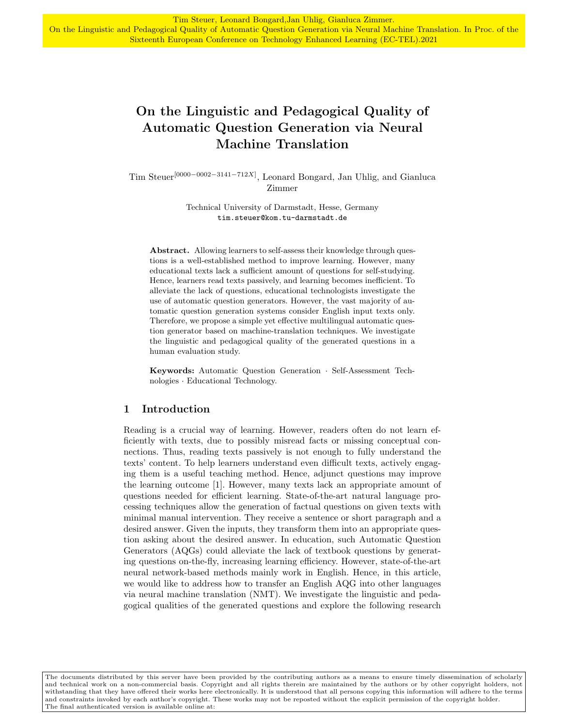# On the Linguistic and Pedagogical Quality of Automatic Question Generation via Neural Machine Translation

Tim Steuer[0000−0002−3141−712X] , Leonard Bongard, Jan Uhlig, and Gianluca Zimmer

> Technical University of Darmstadt, Hesse, Germany tim.steuer@kom.tu-darmstadt.de

Abstract. Allowing learners to self-assess their knowledge through questions is a well-established method to improve learning. However, many educational texts lack a sufficient amount of questions for self-studying. Hence, learners read texts passively, and learning becomes inefficient. To alleviate the lack of questions, educational technologists investigate the use of automatic question generators. However, the vast majority of automatic question generation systems consider English input texts only. Therefore, we propose a simple yet effective multilingual automatic question generator based on machine-translation techniques. We investigate the linguistic and pedagogical quality of the generated questions in a human evaluation study.

Keywords: Automatic Question Generation · Self-Assessment Technologies · Educational Technology.

## 1 Introduction

Reading is a crucial way of learning. However, readers often do not learn efficiently with texts, due to possibly misread facts or missing conceptual connections. Thus, reading texts passively is not enough to fully understand the texts' content. To help learners understand even difficult texts, actively engaging them is a useful teaching method. Hence, adjunct questions may improve the learning outcome [1]. However, many texts lack an appropriate amount of questions needed for efficient learning. State-of-the-art natural language processing techniques allow the generation of factual questions on given texts with minimal manual intervention. They receive a sentence or short paragraph and a desired answer. Given the inputs, they transform them into an appropriate question asking about the desired answer. In education, such Automatic Question Generators (AQGs) could alleviate the lack of textbook questions by generating questions on-the-fly, increasing learning efficiency. However, state-of-the-art neural network-based methods mainly work in English. Hence, in this article, we would like to address how to transfer an English AQG into other languages via neural machine translation (NMT). We investigate the linguistic and pedagogical qualities of the generated questions and explore the following research

The documents distributed by this server have been provided by the contributing authors as a means to ensure timely dissemination of scholarly and technical work on a non-commercial basis. Copyright and all rights therein are maintained by the authors or by other copyright holders, not withstanding that they have offered their works here electronically. It is understood that all persons copying this information will adhere to the terms and constraints invoked by each author's copyright. These works may not be reposted without the explicit permission of the copyright holder. The final authenticated version is available online at: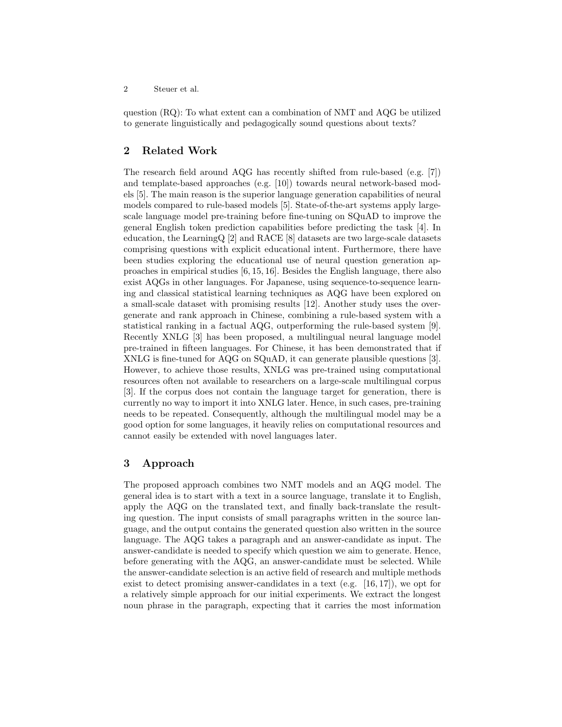question (RQ): To what extent can a combination of NMT and AQG be utilized to generate linguistically and pedagogically sound questions about texts?

# 2 Related Work

The research field around AQG has recently shifted from rule-based (e.g. [7]) and template-based approaches (e.g. [10]) towards neural network-based models [5]. The main reason is the superior language generation capabilities of neural models compared to rule-based models [5]. State-of-the-art systems apply largescale language model pre-training before fine-tuning on SQuAD to improve the general English token prediction capabilities before predicting the task [4]. In education, the LearningQ [2] and RACE [8] datasets are two large-scale datasets comprising questions with explicit educational intent. Furthermore, there have been studies exploring the educational use of neural question generation approaches in empirical studies [6, 15, 16]. Besides the English language, there also exist AQGs in other languages. For Japanese, using sequence-to-sequence learning and classical statistical learning techniques as AQG have been explored on a small-scale dataset with promising results [12]. Another study uses the overgenerate and rank approach in Chinese, combining a rule-based system with a statistical ranking in a factual AQG, outperforming the rule-based system [9]. Recently XNLG [3] has been proposed, a multilingual neural language model pre-trained in fifteen languages. For Chinese, it has been demonstrated that if XNLG is fine-tuned for AQG on SQuAD, it can generate plausible questions [3]. However, to achieve those results, XNLG was pre-trained using computational resources often not available to researchers on a large-scale multilingual corpus [3]. If the corpus does not contain the language target for generation, there is currently no way to import it into XNLG later. Hence, in such cases, pre-training needs to be repeated. Consequently, although the multilingual model may be a good option for some languages, it heavily relies on computational resources and cannot easily be extended with novel languages later.

#### 3 Approach

The proposed approach combines two NMT models and an AQG model. The general idea is to start with a text in a source language, translate it to English, apply the AQG on the translated text, and finally back-translate the resulting question. The input consists of small paragraphs written in the source language, and the output contains the generated question also written in the source language. The AQG takes a paragraph and an answer-candidate as input. The answer-candidate is needed to specify which question we aim to generate. Hence, before generating with the AQG, an answer-candidate must be selected. While the answer-candidate selection is an active field of research and multiple methods exist to detect promising answer-candidates in a text (e.g.  $[16, 17]$ ), we opt for a relatively simple approach for our initial experiments. We extract the longest noun phrase in the paragraph, expecting that it carries the most information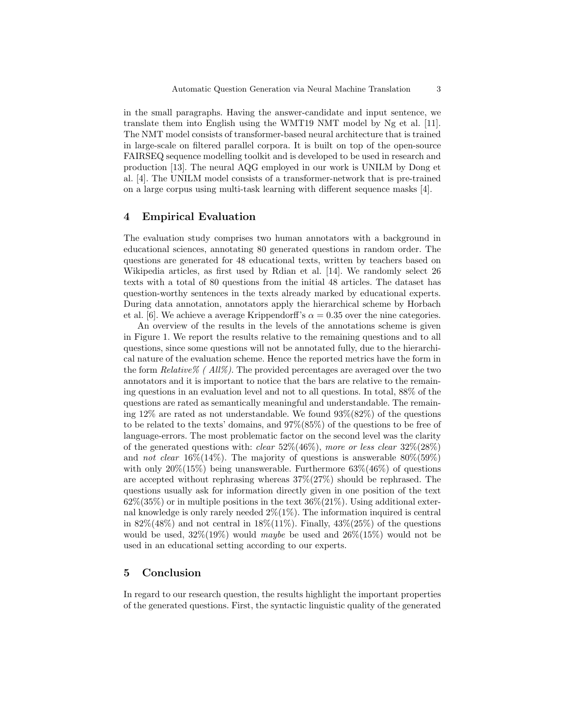in the small paragraphs. Having the answer-candidate and input sentence, we translate them into English using the WMT19 NMT model by Ng et al. [11]. The NMT model consists of transformer-based neural architecture that is trained in large-scale on filtered parallel corpora. It is built on top of the open-source FAIRSEQ sequence modelling toolkit and is developed to be used in research and production [13]. The neural AQG employed in our work is UNILM by Dong et al. [4]. The UNILM model consists of a transformer-network that is pre-trained on a large corpus using multi-task learning with different sequence masks [4].

#### 4 Empirical Evaluation

The evaluation study comprises two human annotators with a background in educational sciences, annotating 80 generated questions in random order. The questions are generated for 48 educational texts, written by teachers based on Wikipedia articles, as first used by Rdian et al. [14]. We randomly select 26 texts with a total of 80 questions from the initial 48 articles. The dataset has question-worthy sentences in the texts already marked by educational experts. During data annotation, annotators apply the hierarchical scheme by Horbach et al. [6]. We achieve a average Krippendorff's  $\alpha = 0.35$  over the nine categories.

An overview of the results in the levels of the annotations scheme is given in Figure 1. We report the results relative to the remaining questions and to all questions, since some questions will not be annotated fully, due to the hierarchical nature of the evaluation scheme. Hence the reported metrics have the form in the form  $Relative\%$  (  $All\%$ ). The provided percentages are averaged over the two annotators and it is important to notice that the bars are relative to the remaining questions in an evaluation level and not to all questions. In total, 88% of the questions are rated as semantically meaningful and understandable. The remaining 12% are rated as not understandable. We found  $93\%(82\%)$  of the questions to be related to the texts' domains, and 97%(85%) of the questions to be free of language-errors. The most problematic factor on the second level was the clarity of the generated questions with: *clear*  $52\%(46\%)$ , more or less clear  $32\%(28\%)$ and *not clear*  $16\%(14\%)$ . The majority of questions is answerable  $80\%(59\%)$ with only  $20\%(15\%)$  being unanswerable. Furthermore  $63\%(46\%)$  of questions are accepted without rephrasing whereas 37%(27%) should be rephrased. The questions usually ask for information directly given in one position of the text  $62\%$  (35%) or in multiple positions in the text  $36\%$  (21%). Using additional external knowledge is only rarely needed  $2\%(1\%)$ . The information inquired is central in  $82\%(48\%)$  and not central in  $18\%(11\%)$ . Finally,  $43\%(25\%)$  of the questions would be used,  $32\%(19\%)$  would maybe be used and  $26\%(15\%)$  would not be used in an educational setting according to our experts.

## 5 Conclusion

In regard to our research question, the results highlight the important properties of the generated questions. First, the syntactic linguistic quality of the generated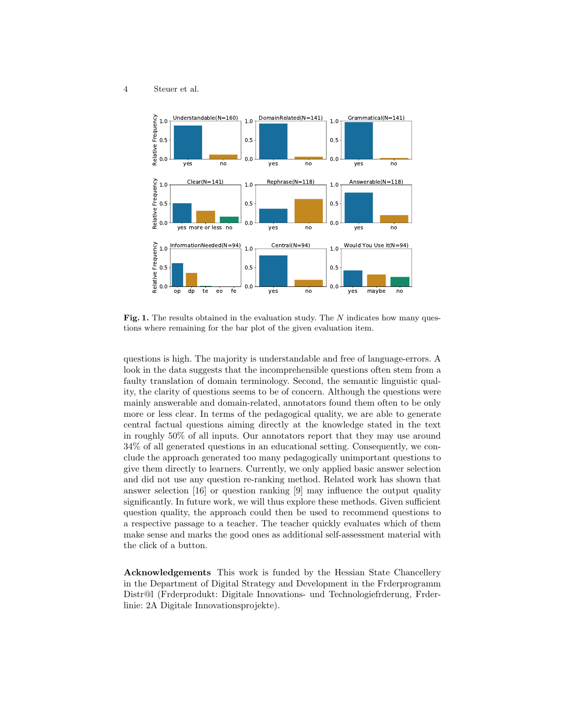4 Steuer et al.



Fig. 1. The results obtained in the evaluation study. The  $N$  indicates how many questions where remaining for the bar plot of the given evaluation item.

questions is high. The majority is understandable and free of language-errors. A look in the data suggests that the incomprehensible questions often stem from a faulty translation of domain terminology. Second, the semantic linguistic quality, the clarity of questions seems to be of concern. Although the questions were mainly answerable and domain-related, annotators found them often to be only more or less clear. In terms of the pedagogical quality, we are able to generate central factual questions aiming directly at the knowledge stated in the text in roughly 50% of all inputs. Our annotators report that they may use around 34% of all generated questions in an educational setting. Consequently, we conclude the approach generated too many pedagogically unimportant questions to give them directly to learners. Currently, we only applied basic answer selection and did not use any question re-ranking method. Related work has shown that answer selection [16] or question ranking [9] may influence the output quality significantly. In future work, we will thus explore these methods. Given sufficient question quality, the approach could then be used to recommend questions to a respective passage to a teacher. The teacher quickly evaluates which of them make sense and marks the good ones as additional self-assessment material with the click of a button.

Acknowledgements This work is funded by the Hessian State Chancellery in the Department of Digital Strategy and Development in the Frderprogramm Distr@l (Frderprodukt: Digitale Innovations- und Technologiefrderung, Frderlinie: 2A Digitale Innovationsprojekte).